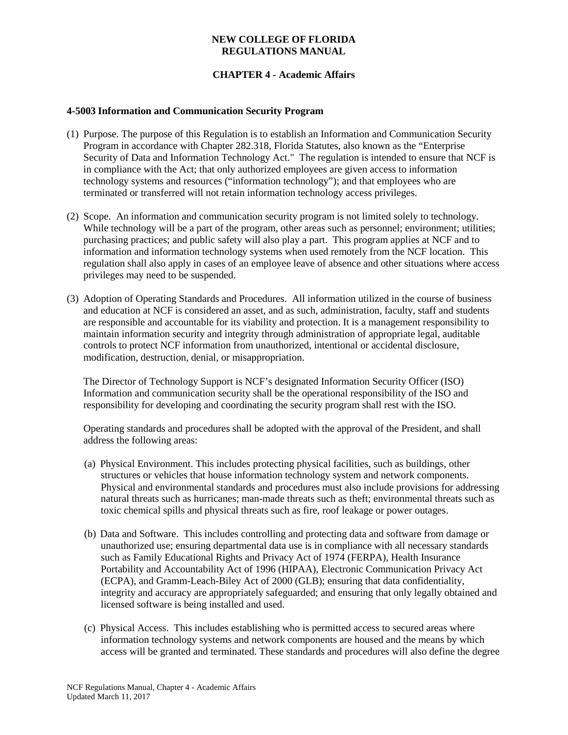## **NEW COLLEGE OF FLORIDA REGULATIONS MANUAL**

# **CHAPTER 4 - Academic Affairs**

#### **4-5003 Information and Communication Security Program**

- (1) Purpose. The purpose of this Regulation is to establish an Information and Communication Security Program in accordance with Chapter 282.318, Florida Statutes, also known as the "Enterprise Security of Data and Information Technology Act." The regulation is intended to ensure that NCF is in compliance with the Act; that only authorized employees are given access to information technology systems and resources ("information technology"); and that employees who are terminated or transferred will not retain information technology access privileges.
- (2) Scope. An information and communication security program is not limited solely to technology. While technology will be a part of the program, other areas such as personnel; environment; utilities; purchasing practices; and public safety will also play a part. This program applies at NCF and to information and information technology systems when used remotely from the NCF location. This regulation shall also apply in cases of an employee leave of absence and other situations where access privileges may need to be suspended.
- (3) Adoption of Operating Standards and Procedures. All information utilized in the course of business and education at NCF is considered an asset, and as such, administration, faculty, staff and students are responsible and accountable for its viability and protection. It is a management responsibility to maintain information security and integrity through administration of appropriate legal, auditable controls to protect NCF information from unauthorized, intentional or accidental disclosure, modification, destruction, denial, or misappropriation.

The Director of Technology Support is NCF's designated Information Security Officer (ISO) Information and communication security shall be the operational responsibility of the ISO and responsibility for developing and coordinating the security program shall rest with the ISO.

Operating standards and procedures shall be adopted with the approval of the President, and shall address the following areas:

- (a) Physical Environment. This includes protecting physical facilities, such as buildings, other structures or vehicles that house information technology system and network components. Physical and environmental standards and procedures must also include provisions for addressing natural threats such as hurricanes; man-made threats such as theft; environmental threats such as toxic chemical spills and physical threats such as fire, roof leakage or power outages.
- (b) Data and Software. This includes controlling and protecting data and software from damage or unauthorized use; ensuring departmental data use is in compliance with all necessary standards such as Family Educational Rights and Privacy Act of 1974 (FERPA), Health Insurance Portability and Accountability Act of 1996 (HIPAA), Electronic Communication Privacy Act (ECPA), and Gramm-Leach-Biley Act of 2000 (GLB); ensuring that data confidentiality, integrity and accuracy are appropriately safeguarded; and ensuring that only legally obtained and licensed software is being installed and used.
- (c) Physical Access. This includes establishing who is permitted access to secured areas where information technology systems and network components are housed and the means by which access will be granted and terminated. These standards and procedures will also define the degree